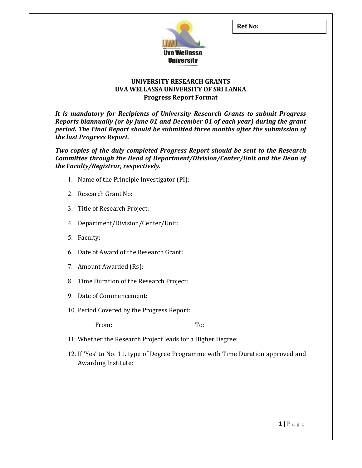

## UNIVERSITY RESEARCH GRANTS UVA WELLASSA UNIVERSITY OF SRI LANKA Progress Report Format

It is mandatory for Recipients of University Research Grants to submit Progress Reports biannually (or by June 01 and December 01 of each year) during the grant period. The Final Report should be submitted three months after the submission of the last Progress Report.

Two copies of the duly completed Progress Report should be sent to the Research Committee through the Head of Department/Division/Center/Unit and the Dean of the Faculty/Registrar, respectively.

- 1. Name of the Principle Investigator (PI):
- 2. Research Grant No:
- 3. Title of Research Project:
- 4. Department/Division/Center/Unit:
- 5. Faculty:
- 6. Date of Award of the Research Grant:
- 7. Amount Awarded (Rs):
- 8. Time Duration of the Research Project:
- 9. Date of Commencement:
- 10. Period Covered by the Progress Report:

From: To:

- 11. Whether the Research Project leads for a Higher Degree:
- 12. If 'Yes' to No. 11. type of Degree Programme with Time Duration approved and Awarding Institute: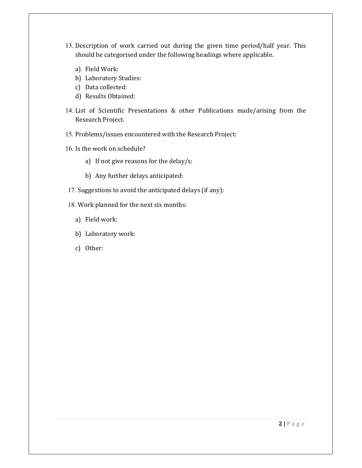- 13. Description of work carried out during the given time period/half year. This should be categorised under the following headings where applicable.
	- a) Field Work:
	- b) Laboratory Studies:
	- c) Data collected:
	- d) Results Obtained:
- 14. List of Scientific Presentations & other Publications made/arising from the Research Project.
- 15. Problems/issues encountered with the Research Project:
- 16. Is the work on schedule?
	- a) If not give reasons for the delay/s:
	- b) Any further delays anticipated:
- 17. Suggestions to avoid the anticipated delays (if any):
- 18. Work planned for the next six months:
	- a) Field work:
	- b) Laboratory work:
	- c) Other: